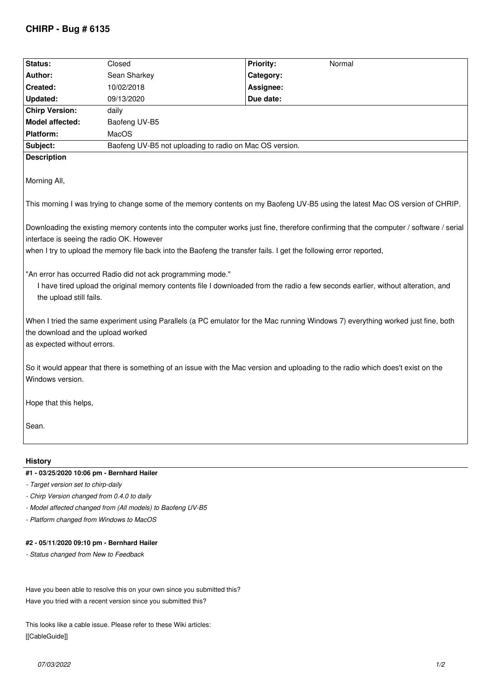## **CHIRP - Bug # 6135**

| Status:                                                                                                                                                                                                                                                                                                   | Closed                                                  | <b>Priority:</b><br>Normal |
|-----------------------------------------------------------------------------------------------------------------------------------------------------------------------------------------------------------------------------------------------------------------------------------------------------------|---------------------------------------------------------|----------------------------|
| Author:                                                                                                                                                                                                                                                                                                   | Sean Sharkey                                            | Category:                  |
| Created:                                                                                                                                                                                                                                                                                                  | 10/02/2018                                              | Assignee:                  |
| <b>Updated:</b>                                                                                                                                                                                                                                                                                           | 09/13/2020                                              | Due date:                  |
| <b>Chirp Version:</b>                                                                                                                                                                                                                                                                                     | daily                                                   |                            |
| <b>Model affected:</b>                                                                                                                                                                                                                                                                                    | Baofeng UV-B5                                           |                            |
| Platform:                                                                                                                                                                                                                                                                                                 | MacOS                                                   |                            |
| Subject:                                                                                                                                                                                                                                                                                                  | Baofeng UV-B5 not uploading to radio on Mac OS version. |                            |
| <b>Description</b>                                                                                                                                                                                                                                                                                        |                                                         |                            |
| Morning All,                                                                                                                                                                                                                                                                                              |                                                         |                            |
| This morning I was trying to change some of the memory contents on my Baofeng UV-B5 using the latest Mac OS version of CHRIP.                                                                                                                                                                             |                                                         |                            |
| Downloading the existing memory contents into the computer works just fine, therefore confirming that the computer / software / serial<br>interface is seeing the radio OK. However<br>when I try to upload the memory file back into the Baofeng the transfer fails. I get the following error reported, |                                                         |                            |
| "An error has occurred Radio did not ack programming mode."<br>I have tired upload the original memory contents file I downloaded from the radio a few seconds earlier, without alteration, and<br>the upload still fails.                                                                                |                                                         |                            |
| When I tried the same experiment using Parallels (a PC emulator for the Mac running Windows 7) everything worked just fine, both<br>the download and the upload worked<br>as expected without errors.                                                                                                     |                                                         |                            |
| So it would appear that there is something of an issue with the Mac version and uploading to the radio which does't exist on the<br>Windows version.                                                                                                                                                      |                                                         |                            |
| Hope that this helps,                                                                                                                                                                                                                                                                                     |                                                         |                            |
| Sean.                                                                                                                                                                                                                                                                                                     |                                                         |                            |
| History                                                                                                                                                                                                                                                                                                   |                                                         |                            |
| #1 - 03/25/2020 10:06 pm - Bernhard Hailer                                                                                                                                                                                                                                                                |                                                         |                            |

- *Target version set to chirp-daily*
- *Chirp Version changed from 0.4.0 to daily*
- *Model affected changed from (All models) to Baofeng UV-B5*
- *Platform changed from Windows to MacOS*

## **#2 - 05/11/2020 09:10 pm - Bernhard Hailer**

*- Status changed from New to Feedback*

*Have you been able to resolve this on your own since you submitted this? Have you tried with a recent version since you submitted this?*

*This looks like a cable issue. Please refer to these Wiki articles: [[CableGuide]]*